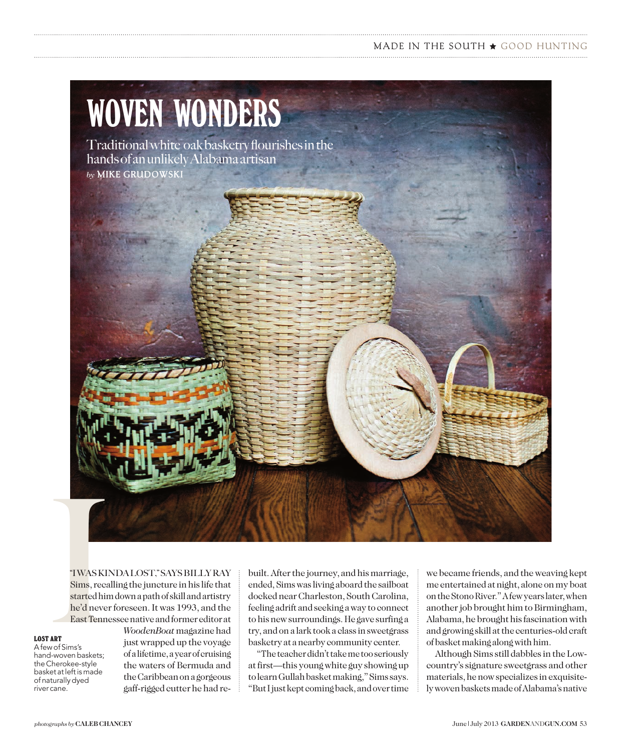### MADE IN THE SOUTH  $\star$  GOOD HUNTING

# WOVEN WONDERS

Traditional white oak basketry flourishes in the hands of an unlikely Alabama artisan *by* **MIKE GRUDOWSKI**

TWAS KIN<br>
TWAS KIN<br>
Sims, recal<br>
started him<br>
he'd never<br>
East Tenne:<br>
TART<br>
wo of Sims's<br>
d-woven baskets; "I WAS KINDA LOST," SAYS BILLY RAY Sims, recalling the juncture in his life that started him down a path of skill and artistry he'd never foreseen. It was 1993, and the East Tennessee native and former editor at

#### **LOST ART**

A few of Sims's hand-woven baskets; the Cherokee-style basket at left is made of naturally dyed river cane.

*WoodenBoat* magazine had just wrapped up the voyage of a lifetime, a year of cruising the waters of Bermuda and the Caribbean on a gorgeous gaff-rigged cutter he had rebuilt. After the journey, and his marriage, ended, Sims was living aboard the sailboat docked near Charleston, South Carolina, feeling adrift and seeking a way to connect to his new surroundings. He gave surfing a try, and on a lark took a class in sweetgrass basketry at a nearby community center.

"The teacher didn't take me too seriously at first—this young white guy showing up to learn Gullah basket making," Sims says. "But I just kept coming back, and over time we became friends, and the weaving kept me entertained at night, alone on my boat on the Stono River." A few years later, when another job brought him to Birmingham, Alabama, he brought his fascination with and growing skill at the centuries-old craft of basket making along with him.

Although Sims still dabbles in the Lowcountry's signature sweetgrass and other materials, he now specializes in exquisitely woven baskets made of Alabama's native